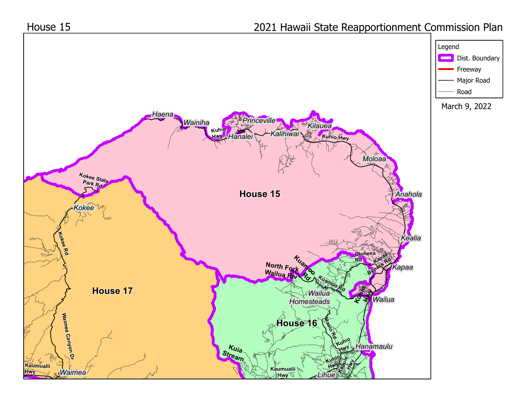

**Hwy**

*Lihue*

## House 15

## 2021 Hawaii State Reapportionment Commission Plan